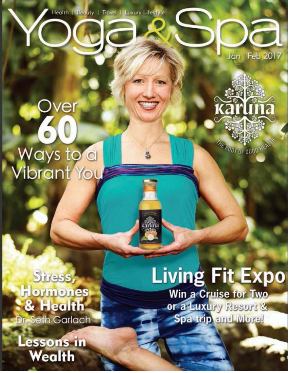Health | Beauty | Travel | Luxury Lifestyle



## Over<br>60 Ways to a<br>Vibrant You

**THE ROOT OF GOOD HEALT** 

2113

karlına

Stress, Hormones & Health Dr. Seth Garlach

essons in **Wealth** 

## **Living Fit Expo** Win a Cruise for Two

or a Luxury Resort & Spa trip and More!